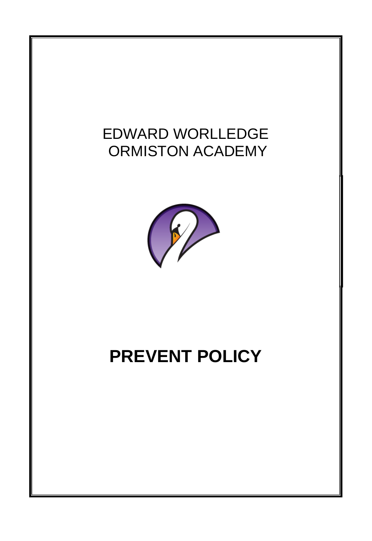# EDWARD WORLLEDGE ORMISTON ACADEMY



# **PREVENT POLICY**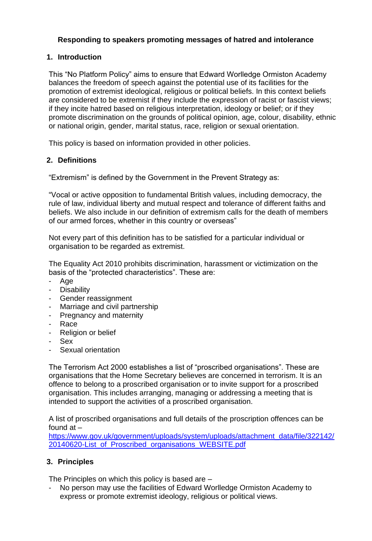# **Responding to speakers promoting messages of hatred and intolerance**

### **1. Introduction**

This "No Platform Policy" aims to ensure that Edward Worlledge Ormiston Academy balances the freedom of speech against the potential use of its facilities for the promotion of extremist ideological, religious or political beliefs. In this context beliefs are considered to be extremist if they include the expression of racist or fascist views; if they incite hatred based on religious interpretation, ideology or belief; or if they promote discrimination on the grounds of political opinion, age, colour, disability, ethnic or national origin, gender, marital status, race, religion or sexual orientation.

This policy is based on information provided in other policies.

# **2. Definitions**

"Extremism" is defined by the Government in the Prevent Strategy as:

"Vocal or active opposition to fundamental British values, including democracy, the rule of law, individual liberty and mutual respect and tolerance of different faiths and beliefs. We also include in our definition of extremism calls for the death of members of our armed forces, whether in this country or overseas"

Not every part of this definition has to be satisfied for a particular individual or organisation to be regarded as extremist.

The Equality Act 2010 prohibits discrimination, harassment or victimization on the basis of the "protected characteristics". These are:

- Age
- Disability
- Gender reassignment
- Marriage and civil partnership
- Pregnancy and maternity
- **Race**
- Religion or belief
- Sex
- Sexual orientation

The Terrorism Act 2000 establishes a list of "proscribed organisations". These are organisations that the Home Secretary believes are concerned in terrorism. It is an offence to belong to a proscribed organisation or to invite support for a proscribed organisation. This includes arranging, managing or addressing a meeting that is intended to support the activities of a proscribed organisation.

A list of proscribed organisations and full details of the proscription offences can be found at –

[https://www.gov.uk/government/uploads/system/uploads/attachment\\_data/file/322142/](https://www.gov.uk/government/uploads/system/uploads/attachment_data/file/322142/20140620-List_of_Proscribed_organisations_WEBSITE.pdf) [20140620-List\\_of\\_Proscribed\\_organisations\\_WEBSITE.pdf](https://www.gov.uk/government/uploads/system/uploads/attachment_data/file/322142/20140620-List_of_Proscribed_organisations_WEBSITE.pdf)

#### **3. Principles**

The Principles on which this policy is based are –

- No person may use the facilities of Edward Worlledge Ormiston Academy to express or promote extremist ideology, religious or political views.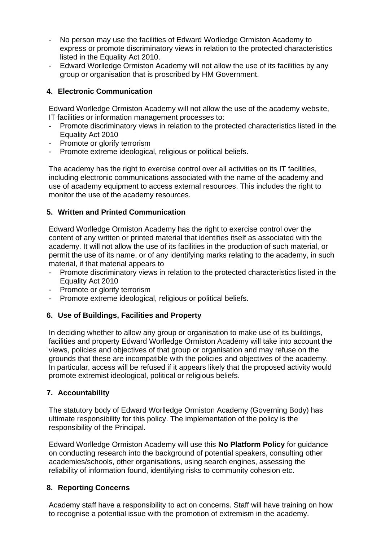- No person may use the facilities of Edward Worlledge Ormiston Academy to express or promote discriminatory views in relation to the protected characteristics listed in the Equality Act 2010.
- Edward Worlledge Ormiston Academy will not allow the use of its facilities by any group or organisation that is proscribed by HM Government.

# **4. Electronic Communication**

Edward Worlledge Ormiston Academy will not allow the use of the academy website, IT facilities or information management processes to:

- Promote discriminatory views in relation to the protected characteristics listed in the Equality Act 2010
- Promote or glorify terrorism
- Promote extreme ideological, religious or political beliefs.

The academy has the right to exercise control over all activities on its IT facilities, including electronic communications associated with the name of the academy and use of academy equipment to access external resources. This includes the right to monitor the use of the academy resources.

# **5. Written and Printed Communication**

Edward Worlledge Ormiston Academy has the right to exercise control over the content of any written or printed material that identifies itself as associated with the academy. It will not allow the use of its facilities in the production of such material, or permit the use of its name, or of any identifying marks relating to the academy, in such material, if that material appears to

- Promote discriminatory views in relation to the protected characteristics listed in the Equality Act 2010
- Promote or glorify terrorism
- Promote extreme ideological, religious or political beliefs.

#### **6. Use of Buildings, Facilities and Property**

In deciding whether to allow any group or organisation to make use of its buildings, facilities and property Edward Worlledge Ormiston Academy will take into account the views, policies and objectives of that group or organisation and may refuse on the grounds that these are incompatible with the policies and objectives of the academy. In particular, access will be refused if it appears likely that the proposed activity would promote extremist ideological, political or religious beliefs.

#### **7. Accountability**

The statutory body of Edward Worlledge Ormiston Academy (Governing Body) has ultimate responsibility for this policy. The implementation of the policy is the responsibility of the Principal.

Edward Worlledge Ormiston Academy will use this **No Platform Policy** for guidance on conducting research into the background of potential speakers, consulting other academies/schools, other organisations, using search engines, assessing the reliability of information found, identifying risks to community cohesion etc.

#### **8. Reporting Concerns**

Academy staff have a responsibility to act on concerns. Staff will have training on how to recognise a potential issue with the promotion of extremism in the academy.